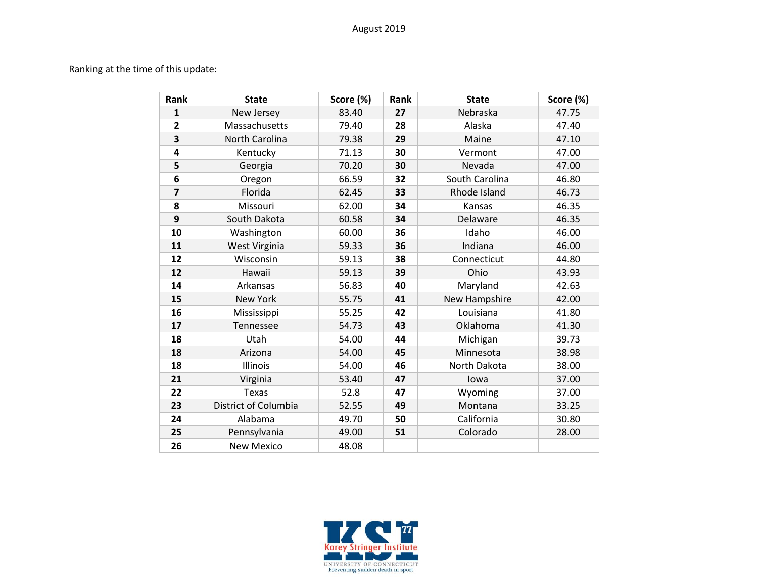## Ranking at the time of this update:

| Rank                    | <b>State</b>         | Score (%) | Rank | <b>State</b>   | Score (%) |
|-------------------------|----------------------|-----------|------|----------------|-----------|
| $\mathbf{1}$            | New Jersey           | 83.40     | 27   | Nebraska       | 47.75     |
| $\overline{2}$          | Massachusetts        | 79.40     | 28   | Alaska         | 47.40     |
| 3                       | North Carolina       | 79.38     | 29   | Maine          | 47.10     |
| $\overline{\mathbf{4}}$ | Kentucky             | 71.13     | 30   | Vermont        | 47.00     |
| 5                       | Georgia              | 70.20     | 30   | Nevada         | 47.00     |
| 6                       | Oregon               | 66.59     | 32   | South Carolina | 46.80     |
| $\overline{7}$          | Florida              | 62.45     | 33   | Rhode Island   | 46.73     |
| 8                       | Missouri             | 62.00     | 34   | Kansas         | 46.35     |
| 9                       | South Dakota         | 60.58     | 34   | Delaware       | 46.35     |
| 10                      | Washington           | 60.00     | 36   | Idaho          | 46.00     |
| 11                      | West Virginia        | 59.33     | 36   | Indiana        | 46.00     |
| 12                      | Wisconsin            | 59.13     | 38   | Connecticut    | 44.80     |
| 12                      | Hawaii               | 59.13     | 39   | Ohio           | 43.93     |
| 14                      | Arkansas             | 56.83     | 40   | Maryland       | 42.63     |
| 15                      | New York             | 55.75     | 41   | New Hampshire  | 42.00     |
| 16                      | Mississippi          | 55.25     | 42   | Louisiana      | 41.80     |
| 17                      | Tennessee            | 54.73     | 43   | Oklahoma       | 41.30     |
| 18                      | Utah                 | 54.00     | 44   | Michigan       | 39.73     |
| 18                      | Arizona              | 54.00     | 45   | Minnesota      | 38.98     |
| 18                      | Illinois             | 54.00     | 46   | North Dakota   | 38.00     |
| 21                      | Virginia             | 53.40     | 47   | lowa           | 37.00     |
| 22                      | <b>Texas</b>         | 52.8      | 47   | Wyoming        | 37.00     |
| 23                      | District of Columbia | 52.55     | 49   | Montana        | 33.25     |
| 24                      | Alabama              | 49.70     | 50   | California     | 30.80     |
| 25                      | Pennsylvania         | 49.00     | 51   | Colorado       | 28.00     |
| 26                      | <b>New Mexico</b>    | 48.08     |      |                |           |

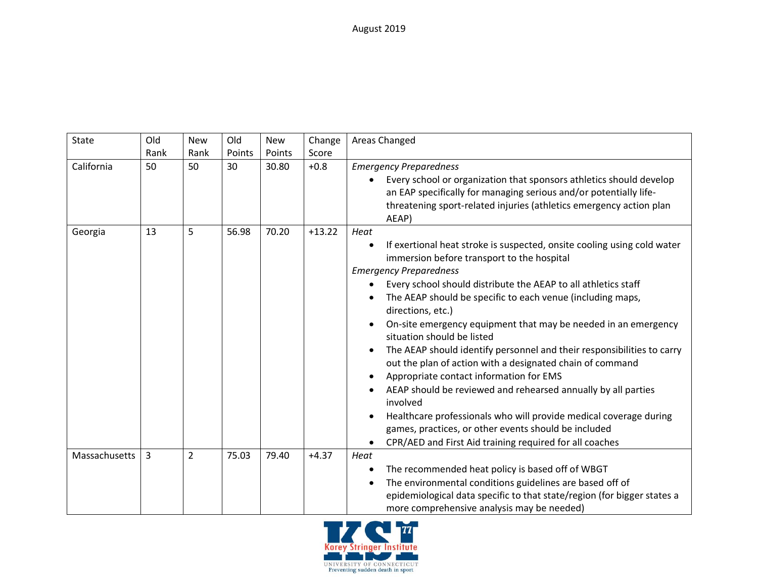August 2019

| State         | Old  | <b>New</b>     | Old    | New    | Change   | Areas Changed                                                                                                                                                                                                                                                                                                                                                                                                                                                                                                                                                                                                                                                                                                                                                                                                                                                                                          |
|---------------|------|----------------|--------|--------|----------|--------------------------------------------------------------------------------------------------------------------------------------------------------------------------------------------------------------------------------------------------------------------------------------------------------------------------------------------------------------------------------------------------------------------------------------------------------------------------------------------------------------------------------------------------------------------------------------------------------------------------------------------------------------------------------------------------------------------------------------------------------------------------------------------------------------------------------------------------------------------------------------------------------|
|               | Rank | Rank           | Points | Points | Score    |                                                                                                                                                                                                                                                                                                                                                                                                                                                                                                                                                                                                                                                                                                                                                                                                                                                                                                        |
| California    | 50   | 50             | 30     | 30.80  | $+0.8$   | <b>Emergency Preparedness</b><br>Every school or organization that sponsors athletics should develop<br>$\bullet$<br>an EAP specifically for managing serious and/or potentially life-<br>threatening sport-related injuries (athletics emergency action plan<br>AEAP)                                                                                                                                                                                                                                                                                                                                                                                                                                                                                                                                                                                                                                 |
| Georgia       | 13   | 5              | 56.98  | 70.20  | $+13.22$ | Heat<br>If exertional heat stroke is suspected, onsite cooling using cold water<br>٠<br>immersion before transport to the hospital<br><b>Emergency Preparedness</b><br>Every school should distribute the AEAP to all athletics staff<br>The AEAP should be specific to each venue (including maps,<br>directions, etc.)<br>On-site emergency equipment that may be needed in an emergency<br>$\bullet$<br>situation should be listed<br>The AEAP should identify personnel and their responsibilities to carry<br>out the plan of action with a designated chain of command<br>Appropriate contact information for EMS<br>AEAP should be reviewed and rehearsed annually by all parties<br>٠<br>involved<br>Healthcare professionals who will provide medical coverage during<br>٠<br>games, practices, or other events should be included<br>CPR/AED and First Aid training required for all coaches |
| Massachusetts | 3    | $\overline{2}$ | 75.03  | 79.40  | $+4.37$  | Heat<br>The recommended heat policy is based off of WBGT<br>$\bullet$<br>The environmental conditions guidelines are based off of<br>$\bullet$<br>epidemiological data specific to that state/region (for bigger states a<br>more comprehensive analysis may be needed)                                                                                                                                                                                                                                                                                                                                                                                                                                                                                                                                                                                                                                |